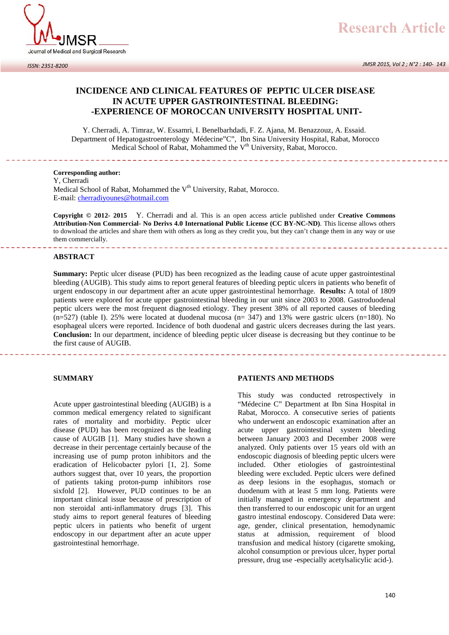**Research Article**





## **INCIDENCE AND CLINICAL FEATURES OF PEPTIC ULCER DISEASE IN ACUTE UPPER GASTROINTESTINAL BLEEDING: -EXPERIENCE OF MOROCCAN UNIVERSITY HOSPITAL UNIT-**

Y. Cherradi, A. Timraz, W. Essamri, I. Benelbarhdadi, F. Z. Ajana, M. Benazzouz, A. Essaid. Department of Hepatogastroenterology Médecine"C", Ibn Sina University Hospital, Rabat, Morocco Medical School of Rabat, Mohammed the V<sup>th</sup> University, Rabat, Morocco.

**Corresponding author:**

Y, Cherradi Medical School of Rabat, Mohammed the V<sup>th</sup> University, Rabat, Morocco. E-mail: cherradiyounes@hotmail.com

**Copyright © 2012- 2015** Y. Cherradi and al. This is an open access article published under **Creative Commons Attribution-Non Commercial- No Derivs 4.0 International Public License (CC BY-NC-ND)**. This license allows others to download the articles and share them with others as long as they credit you, but they can't change them in any way or use them commercially.

#### **ABSTRACT**

**Summary:** Peptic ulcer disease (PUD) has been recognized as the leading cause of acute upper gastrointestinal bleeding (AUGIB). This study aims to report general features of bleeding peptic ulcers in patients who benefit of urgent endoscopy in our department after an acute upper gastrointestinal hemorrhage. **Results:** A total of 1809 patients were explored for acute upper gastrointestinal bleeding in our unit since 2003 to 2008. Gastroduodenal peptic ulcers were the most frequent diagnosed etiology. They present 38% of all reported causes of bleeding  $(n=527)$  (table I). 25% were located at duodenal mucosa  $(n= 347)$  and 13% were gastric ulcers  $(n=180)$ . No esophageal ulcers were reported. Incidence of both duodenal and gastric ulcers decreases during the last years. **Conclusion:** In our department, incidence of bleeding peptic ulcer disease is decreasing but they continue to be the first cause of AUGIB.

## **SUMMARY**

Acute upper gastrointestinal bleeding (AUGIB) is a common medical emergency related to significant rates of mortality and morbidity. Peptic ulcer disease (PUD) has been recognized as the leading cause of AUGIB [1]. Many studies have shown a decrease in their percentage certainly because of the increasing use of pump proton inhibitors and the eradication of Helicobacter pylori [1, 2]. Some authors suggest that, over 10 years, the proportion of patients taking proton-pump inhibitors rose sixfold [2]. However, PUD continues to be an important clinical issue because of prescription of non steroidal anti-inflammatory drugs [3]. This study aims to report general features of bleeding peptic ulcers in patients who benefit of urgent endoscopy in our department after an acute upper gastrointestinal hemorrhage.

#### **PATIENTS AND METHODS**

This study was conducted retrospectively in "Médecine C" Department at Ibn Sina Hospital in Rabat, Morocco. A consecutive series of patients who underwent an endoscopic examination after an acute upper gastrointestinal system bleeding between January 2003 and December 2008 were analyzed. Only patients over 15 years old with an endoscopic diagnosis of bleeding peptic ulcers were included. Other etiologies of gastrointestinal bleeding were excluded. Peptic ulcers were defined as deep lesions in the esophagus, stomach or duodenum with at least 5 mm long. Patients were initially managed in emergency department and then transferred to our endoscopic unit for an urgent gastro intestinal endoscopy. Considered Data were: age, gender, clinical presentation, hemodynamic status at admission, requirement of blood transfusion and medical history (cigarette smoking, alcohol consumption or previous ulcer, hyper portal pressure, drug use -especially acetylsalicylic acid-).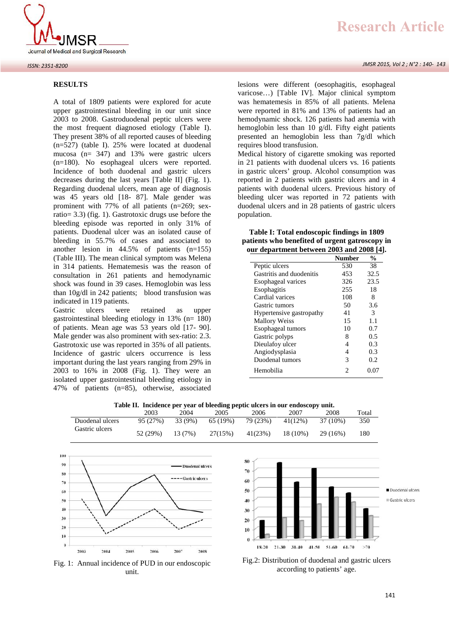

#### *ISSN: 2351-8200*

#### **RESULTS**

A total of 1809 patients were explored for acute upper gastrointestinal bleeding in our unit since 2003 to 2008. Gastroduodenal peptic ulcers were the most frequent diagnosed etiology (Table I). They present 38% of all reported causes of bleeding (n=527) (table I). 25% were located at duodenal mucosa (n= 347) and 13% were gastric ulcers (n=180). No esophageal ulcers were reported. Incidence of both duodenal and gastric ulcers decreases during the last years [Table II] (Fig. 1). Regarding duodenal ulcers, mean age of diagnosis was 45 years old [18- 87]. Male gender was prominent with 77% of all patients (n=269; sexratio= 3.3) (fig. 1). Gastrotoxic drugs use before the bleeding episode was reported in only 31% of patients. Duodenal ulcer was an isolated cause of bleeding in 55.7% of cases and associated to another lesion in 44.5% of patients (n=155) (Table III). The mean clinical symptom was Melena in 314 patients. Hematemesis was the reason of consultation in 261 patients and hemodynamic shock was found in 39 cases. Hemoglobin was less than 10g/dl in 242 patients; blood transfusion was indicated in 119 patients.<br>Gastric ulcers were

Gastric ulcers were retained as upper gastrointestinal bleeding etiology in  $13\%$  (n= 180) of patients. Mean age was 53 years old [17- 90]. Male gender was also prominent with sex-ratio: 2.3. Gastrotoxic use was reported in 35% of all patients. Incidence of gastric ulcers occurrence is less important during the last years ranging from 29% in 2003 to 16% in 2008 (Fig. 1). They were an isolated upper gastrointestinal bleeding etiology in 47% of patients (n=85), otherwise, associated

# **Research Article**

lesions were different (oesophagitis, esophageal varicose…) [Table IV]. Major clinical symptom was hematemesis in 85% of all patients. Melena were reported in 81% and 13% of patients had an hemodynamic shock. 126 patients had anemia with hemoglobin less than 10 g/dl. Fifty eight patients presented an hemoglobin less than 7g/dl which requires blood transfusion.

Medical history of cigarette smoking was reported in 21 patients with duodenal ulcers vs. 16 patients in gastric ulcers' group. Alcohol consumption was reported in 2 patients with gastric ulcers and in 4 patients with duodenal ulcers. Previous history of bleeding ulcer was reported in 72 patients with duodenal ulcers and in 28 patients of gastric ulcers population.

### **Table I: Total endoscopic findings in 1809 patients who benefited of urgent gatroscopy in our department between 2003 and 2008 [4].**

|                          | <b>Number</b> | $\frac{6}{9}$ |
|--------------------------|---------------|---------------|
| Peptic ulcers            | 530           | 38            |
| Gastritis and duodenitis | 453           | 32.5          |
| Esophageal varices       | 326           | 23.5          |
| Esophagitis              | 255           | 18            |
| Cardial varices          | 108           | 8             |
| Gastric tumors           | 50            | 3.6           |
| Hypertensive gastropathy | 41            | 3             |
| <b>Mallory Weiss</b>     | 15            | 1.1           |
| Esophageal tumors        | 10            | 0.7           |
| Gastric polyps           | 8             | 0.5           |
| Dieulafoy ulcer          | 4             | 0.3           |
| Angiodysplasia           | 4             | 0.3           |
| Duodenal tumors          | 3             | 0.2           |
| Hemobilia                |               | 0.07          |

|                 | Table II. Incidence per year of bleeding peptic ulcers in our endoscopy unit. |                                       |          |          |                        |                             |       |
|-----------------|-------------------------------------------------------------------------------|---------------------------------------|----------|----------|------------------------|-----------------------------|-------|
|                 | 2003                                                                          | 2004                                  | 2005     | 2006     | 2007                   | 2008                        | Total |
| Duodenal ulcers | 95 (27%)                                                                      | 33 (9%)                               | 65 (19%) | 79 (23%) | 41(12%)                | 37 (10%)                    | 350   |
| Gastric ulcers  | 52 (29%)                                                                      | 13 (7%)                               | 27(15%)  | 41(23%)  | 18 (10%)               | 29(16%)                     | 180   |
|                 |                                                                               |                                       |          | 80       |                        |                             |       |
|                 |                                                                               | Duodenal ulcers<br>----Gastric ulcers |          | 70       |                        |                             |       |
|                 |                                                                               |                                       |          | 60<br>50 |                        |                             |       |
|                 |                                                                               |                                       |          | 40       |                        |                             |       |
|                 |                                                                               |                                       |          | 30       |                        |                             |       |
|                 |                                                                               |                                       |          | 20<br>10 |                        |                             |       |
|                 |                                                                               |                                       |          | $\theta$ |                        |                             |       |
| 3863<br>5001    | 5005<br>nnar                                                                  | $500 -$                               | 5000     | 18-20    | $21 - 30$<br>$31 - 40$ | 51-60<br>61-70<br>$41 - 50$ | >70   |

Fig. 1: Annual incidence of PUD in our endoscopic unit.



Duodenal ulcers Gastric ulcers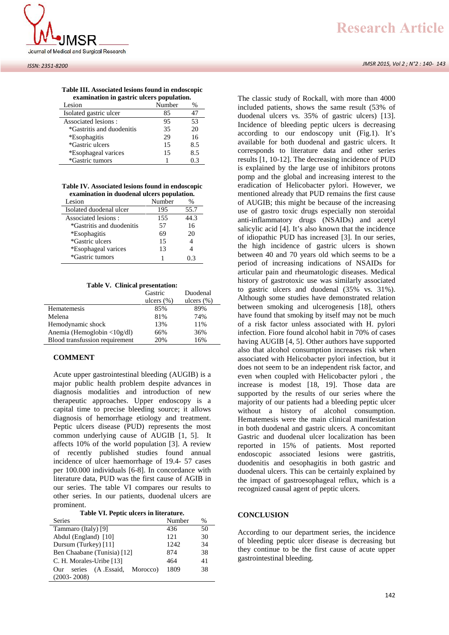

#### *ISSN: 2351-8200*

**Table III. Associated lesions found in endoscopic examination in gastric ulcers population.**

|                           | . .    |      |
|---------------------------|--------|------|
| Lesion                    | Number | $\%$ |
| Isolated gastric ulcer    | 85     | 47   |
| Associated lesions:       | 95     | 53   |
| *Gastritis and duodenitis | 35     | 20   |
| *Esophagitis              | 29     | 16   |
| *Gastric ulcers           | 15     | 8.5  |
| *Esophageal varices       | 15     | 8.5  |
| *Gastric tumors           |        | 0 3  |

**Table IV. Associated lesions found in endoscopic examination in duodenal ulcers population.**

| Number | $\%$ |
|--------|------|
| 195    | 55.7 |
| 155    | 44.3 |
| 57     | 16   |
| 69     | 20   |
| 15     |      |
| 13     |      |
|        | በ 3  |
|        |      |

**Table V. Clinical presentation:**

|                                | Gastric       | Duodenal       | w |  |
|--------------------------------|---------------|----------------|---|--|
|                                | ulcers $(\%)$ | ulcers $(\% )$ |   |  |
| Hematemesis                    | 85%           | 89%            |   |  |
| Melena                         | 81%           | 74%            |   |  |
| Hemodynamic shock              | 13%           | 11%            |   |  |
| Anemia (Hemoglobin <10g/dl)    | 66%           | 36%            |   |  |
| Blood transfussion requirement | 20%           | 16%            |   |  |

### **COMMENT**

Acute upper gastrointestinal bleeding (AUGIB) is a major public health problem despite advances in diagnosis modalities and introduction of new therapeutic approaches. Upper endoscopy is a capital time to precise bleeding source; it allows diagnosis of hemorrhage etiology and treatment. Peptic ulcers disease (PUD) represents the most common underlying cause of AUGIB [1, 5]. It affects  $10\%$  of the world population [3]. A review of recently published studies found annual incidence of ulcer haemorrhage of 19.4- 57 cases per 100.000 individuals [6-8]. In concordance with literature data, PUD was the first cause of AGIB in our series. The table VI compares our results to other series. In our patients, duodenal ulcers are prominent.

**Table VI. Peptic ulcers in literature.**

| Series                               | Number | $\%$ |
|--------------------------------------|--------|------|
| Tammaro (Italy) [9]                  | 436    | 50   |
| Abdul (England) [10]                 | 121    | 30   |
| Dursum (Turkey) [11]                 | 1242   | 34   |
| Ben Chaabane (Tunisia) [12]          | 874    | 38   |
| C. H. Morales-Uribe [13]             | 464    | 41   |
| (A.Essaid, Morocco)<br>series<br>Our | 1809   | 38   |
| $(2003 - 2008)$                      |        |      |

The classic study of Rockall, with more than 4000 included patients, shows the same result (53% of duodenal ulcers vs. 35% of gastric ulcers) [13]. Incidence of bleeding peptic ulcers is decreasing according to our endoscopy unit (Fig.1). It's available for both duodenal and gastric ulcers. It corresponds to literature data and other series results [1, 10-12]. The decreasing incidence of PUD is explained by the large use of inhibitors protons pomp and the global and increasing interest to the eradication of Helicobacter pylori. However, we mentioned already that PUD remains the first cause of AUGIB; this might be because of the increasing use of gastro toxic drugs especially non steroidal anti-inflammatory drugs (NSAIDs) and acetyl salicylic acid [4]. It's also known that the incidence of idiopathic PUD has increased [3]. In our series, the high incidence of gastric ulcers is shown between 40 and 70 years old which seems to be a period of increasing indications of NSAIDs for articular pain and rheumatologic diseases. Medical history of gastrotoxic use was similarly associated to gastric ulcers and duodenal (35% vs. 31%). Although some studies have demonstrated relation between smoking and ulcerogenesis [18], others have found that smoking by itself may not be much of a risk factor unless associated with H. pylori infection. Fiore found alcohol habit in 70% of cases having AUGIB [4, 5]. Other authors have supported also that alcohol consumption increases risk when associated with Helicobacter pylori infection, but it does not seem to be an independent risk factor, and even when coupled with Helicobacter pylori , the increase is modest [18, 19]. Those data are supported by the results of our series where the majority of our patients had a bleeding peptic ulcer without a history of alcohol consumption. Hematemesis were the main clinical manifestation in both duodenal and gastric ulcers. A concomitant Gastric and duodenal ulcer localization has been reported in 15% of patients. Most reported endoscopic associated lesions were gastritis, duodenitis and oesophagitis in both gastric and duodenal ulcers. This can be certainly explained by the impact of gastroesophageal reflux, which is a recognized causal agent of peptic ulcers.

## **CONCLUSION**

According to our department series, the incidence of bleeding peptic ulcer disease is decreasing but they continue to be the first cause of acute upper gastrointestinal bleeding.